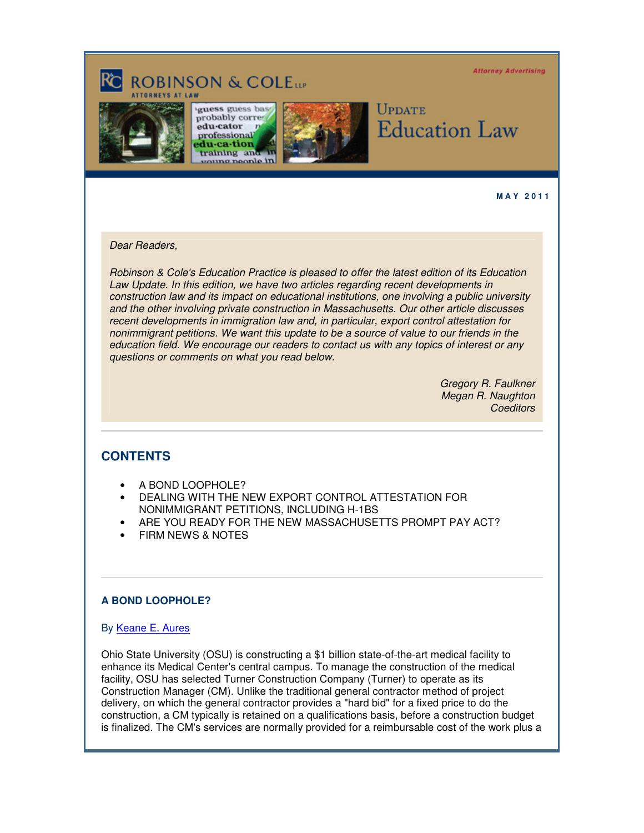**Attorney Advertising** 

# **ROBINSON & COLEtte**



guess guess bas probably corre edu-cator professional edu-ca-tion training and roung people in



# Update **Education Law**

**M A Y 2 0 1 1** 

#### Dear Readers,

Robinson & Cole's Education Practice is pleased to offer the latest edition of its Education Law Update. In this edition, we have two articles regarding recent developments in construction law and its impact on educational institutions, one involving a public university and the other involving private construction in Massachusetts. Our other article discusses recent developments in immigration law and, in particular, export control attestation for nonimmigrant petitions. We want this update to be a source of value to our friends in the education field. We encourage our readers to contact us with any topics of interest or any questions or comments on what you read below.

> Gregory R. Faulkner Megan R. Naughton **Coeditors**

# **CONTENTS**

- A BOND LOOPHOLE?
- DEALING WITH THE NEW EXPORT CONTROL ATTESTATION FOR NONIMMIGRANT PETITIONS, INCLUDING H-1BS
- ARE YOU READY FOR THE NEW MASSACHUSETTS PROMPT PAY ACT?
- FIRM NEWS & NOTES

# **A BOND LOOPHOLE?**

# By [Keane E. Aures](http://www.rc.com/Bio.cfm?eID=1427)

Ohio State University (OSU) is constructing a \$1 billion state-of-the-art medical facility to enhance its Medical Center's central campus. To manage the construction of the medical facility, OSU has selected Turner Construction Company (Turner) to operate as its Construction Manager (CM). Unlike the traditional general contractor method of project delivery, on which the general contractor provides a "hard bid" for a fixed price to do the construction, a CM typically is retained on a qualifications basis, before a construction budget is finalized. The CM's services are normally provided for a reimbursable cost of the work plus a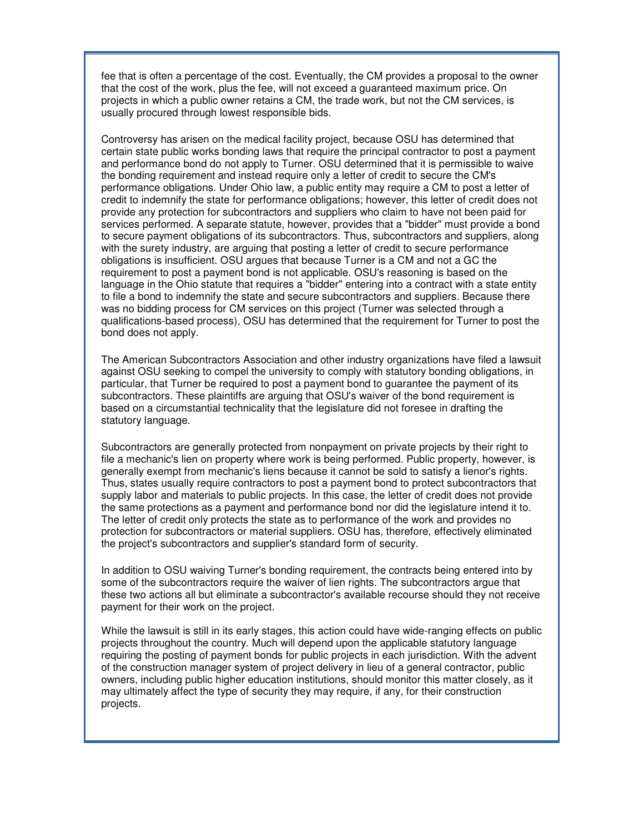fee that is often a percentage of the cost. Eventually, the CM provides a proposal to the owner that the cost of the work, plus the fee, will not exceed a guaranteed maximum price. On projects in which a public owner retains a CM, the trade work, but not the CM services, is usually procured through lowest responsible bids.

Controversy has arisen on the medical facility project, because OSU has determined that certain state public works bonding laws that require the principal contractor to post a payment and performance bond do not apply to Turner. OSU determined that it is permissible to waive the bonding requirement and instead require only a letter of credit to secure the CM's performance obligations. Under Ohio law, a public entity may require a CM to post a letter of credit to indemnify the state for performance obligations; however, this letter of credit does not provide any protection for subcontractors and suppliers who claim to have not been paid for services performed. A separate statute, however, provides that a "bidder" must provide a bond to secure payment obligations of its subcontractors. Thus, subcontractors and suppliers, along with the surety industry, are arguing that posting a letter of credit to secure performance obligations is insufficient. OSU argues that because Turner is a CM and not a GC the requirement to post a payment bond is not applicable. OSU's reasoning is based on the language in the Ohio statute that requires a "bidder" entering into a contract with a state entity to file a bond to indemnify the state and secure subcontractors and suppliers. Because there was no bidding process for CM services on this project (Turner was selected through a qualifications-based process), OSU has determined that the requirement for Turner to post the bond does not apply.

The American Subcontractors Association and other industry organizations have filed a lawsuit against OSU seeking to compel the university to comply with statutory bonding obligations, in particular, that Turner be required to post a payment bond to guarantee the payment of its subcontractors. These plaintiffs are arguing that OSU's waiver of the bond requirement is based on a circumstantial technicality that the legislature did not foresee in drafting the statutory language.

Subcontractors are generally protected from nonpayment on private projects by their right to file a mechanic's lien on property where work is being performed. Public property, however, is generally exempt from mechanic's liens because it cannot be sold to satisfy a lienor's rights. Thus, states usually require contractors to post a payment bond to protect subcontractors that supply labor and materials to public projects. In this case, the letter of credit does not provide the same protections as a payment and performance bond nor did the legislature intend it to. The letter of credit only protects the state as to performance of the work and provides no protection for subcontractors or material suppliers. OSU has, therefore, effectively eliminated the project's subcontractors and supplier's standard form of security.

In addition to OSU waiving Turner's bonding requirement, the contracts being entered into by some of the subcontractors require the waiver of lien rights. The subcontractors argue that these two actions all but eliminate a subcontractor's available recourse should they not receive payment for their work on the project.

While the lawsuit is still in its early stages, this action could have wide-ranging effects on public projects throughout the country. Much will depend upon the applicable statutory language requiring the posting of payment bonds for public projects in each jurisdiction. With the advent of the construction manager system of project delivery in lieu of a general contractor, public owners, including public higher education institutions, should monitor this matter closely, as it may ultimately affect the type of security they may require, if any, for their construction projects.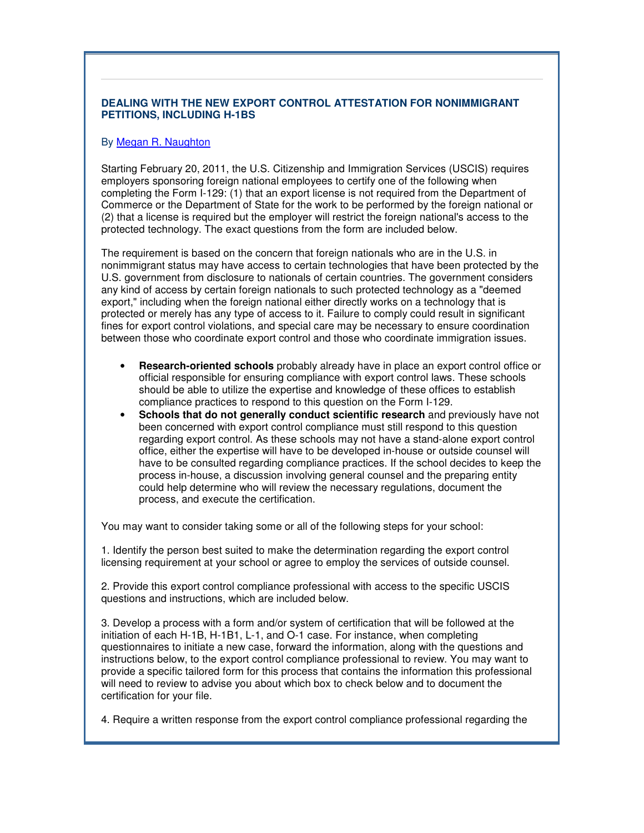# **DEALING WITH THE NEW EXPORT CONTROL ATTESTATION FOR NONIMMIGRANT PETITIONS, INCLUDING H-1BS**

#### By [Megan R. Naughton](http://www.rc.com/Bio.cfm?eID=840)

Starting February 20, 2011, the U.S. Citizenship and Immigration Services (USCIS) requires employers sponsoring foreign national employees to certify one of the following when completing the Form I-129: (1) that an export license is not required from the Department of Commerce or the Department of State for the work to be performed by the foreign national or (2) that a license is required but the employer will restrict the foreign national's access to the protected technology. The exact questions from the form are included below.

The requirement is based on the concern that foreign nationals who are in the U.S. in nonimmigrant status may have access to certain technologies that have been protected by the U.S. government from disclosure to nationals of certain countries. The government considers any kind of access by certain foreign nationals to such protected technology as a "deemed export," including when the foreign national either directly works on a technology that is protected or merely has any type of access to it. Failure to comply could result in significant fines for export control violations, and special care may be necessary to ensure coordination between those who coordinate export control and those who coordinate immigration issues.

- **Research-oriented schools** probably already have in place an export control office or official responsible for ensuring compliance with export control laws. These schools should be able to utilize the expertise and knowledge of these offices to establish compliance practices to respond to this question on the Form I-129.
- **Schools that do not generally conduct scientific research** and previously have not been concerned with export control compliance must still respond to this question regarding export control. As these schools may not have a stand-alone export control office, either the expertise will have to be developed in-house or outside counsel will have to be consulted regarding compliance practices. If the school decides to keep the process in-house, a discussion involving general counsel and the preparing entity could help determine who will review the necessary regulations, document the process, and execute the certification.

You may want to consider taking some or all of the following steps for your school:

1. Identify the person best suited to make the determination regarding the export control licensing requirement at your school or agree to employ the services of outside counsel.

2. Provide this export control compliance professional with access to the specific USCIS questions and instructions, which are included below.

3. Develop a process with a form and/or system of certification that will be followed at the initiation of each H-1B, H-1B1, L-1, and O-1 case. For instance, when completing questionnaires to initiate a new case, forward the information, along with the questions and instructions below, to the export control compliance professional to review. You may want to provide a specific tailored form for this process that contains the information this professional will need to review to advise you about which box to check below and to document the certification for your file.

4. Require a written response from the export control compliance professional regarding the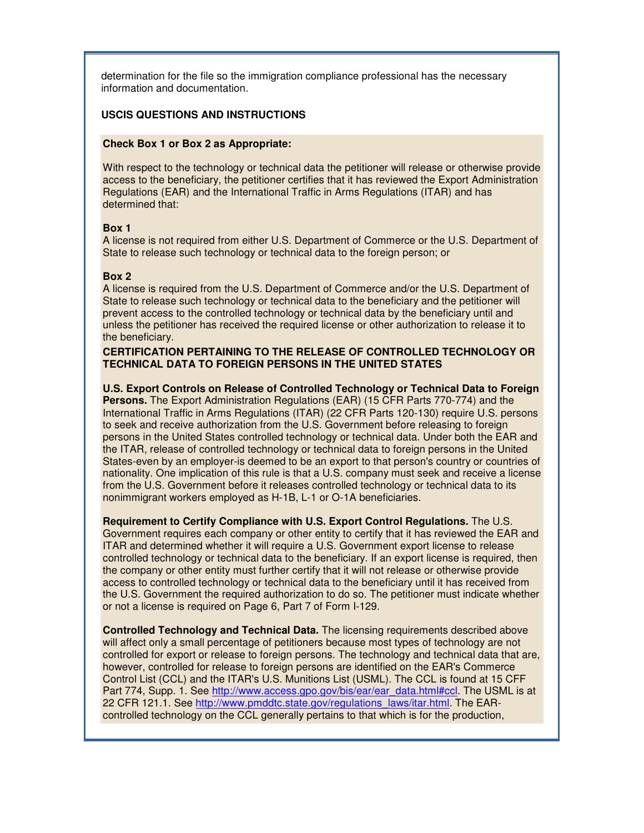determination for the file so the immigration compliance professional has the necessary information and documentation.

# **USCIS QUESTIONS AND INSTRUCTIONS**

#### **Check Box 1 or Box 2 as Appropriate:**

With respect to the technology or technical data the petitioner will release or otherwise provide access to the beneficiary, the petitioner certifies that it has reviewed the Export Administration Regulations (EAR) and the International Traffic in Arms Regulations (ITAR) and has determined that:

#### **Box 1**

A license is not required from either U.S. Department of Commerce or the U.S. Department of State to release such technology or technical data to the foreign person; or

#### **Box 2**

A license is required from the U.S. Department of Commerce and/or the U.S. Department of State to release such technology or technical data to the beneficiary and the petitioner will prevent access to the controlled technology or technical data by the beneficiary until and unless the petitioner has received the required license or other authorization to release it to the beneficiary.

#### **CERTIFICATION PERTAINING TO THE RELEASE OF CONTROLLED TECHNOLOGY OR TECHNICAL DATA TO FOREIGN PERSONS IN THE UNITED STATES**

**U.S. Export Controls on Release of Controlled Technology or Technical Data to Foreign Persons.** The Export Administration Regulations (EAR) (15 CFR Parts 770-774) and the International Traffic in Arms Regulations (ITAR) (22 CFR Parts 120-130) require U.S. persons to seek and receive authorization from the U.S. Government before releasing to foreign persons in the United States controlled technology or technical data. Under both the EAR and the ITAR, release of controlled technology or technical data to foreign persons in the United States-even by an employer-is deemed to be an export to that person's country or countries of nationality. One implication of this rule is that a U.S. company must seek and receive a license from the U.S. Government before it releases controlled technology or technical data to its nonimmigrant workers employed as H-1B, L-1 or O-1A beneficiaries.

**Requirement to Certify Compliance with U.S. Export Control Regulations.** The U.S. Government requires each company or other entity to certify that it has reviewed the EAR and ITAR and determined whether it will require a U.S. Government export license to release controlled technology or technical data to the beneficiary. If an export license is required, then the company or other entity must further certify that it will not release or otherwise provide access to controlled technology or technical data to the beneficiary until it has received from the U.S. Government the required authorization to do so. The petitioner must indicate whether or not a license is required on Page 6, Part 7 of Form I-129.

**Controlled Technology and Technical Data.** The licensing requirements described above will affect only a small percentage of petitioners because most types of technology are not controlled for export or release to foreign persons. The technology and technical data that are, however, controlled for release to foreign persons are identified on the EAR's Commerce Control List (CCL) and the ITAR's U.S. Munitions List (USML). The CCL is found at 15 CFF Part 774, Supp. 1. See http://www.access.gpo.gov/bis/ear/ear\_data.html#ccl. The USML is at 22 CFR 121.1. See http://www.pmddtc.state.gov/regulations\_laws/itar.html. The EARcontrolled technology on the CCL generally pertains to that which is for the production,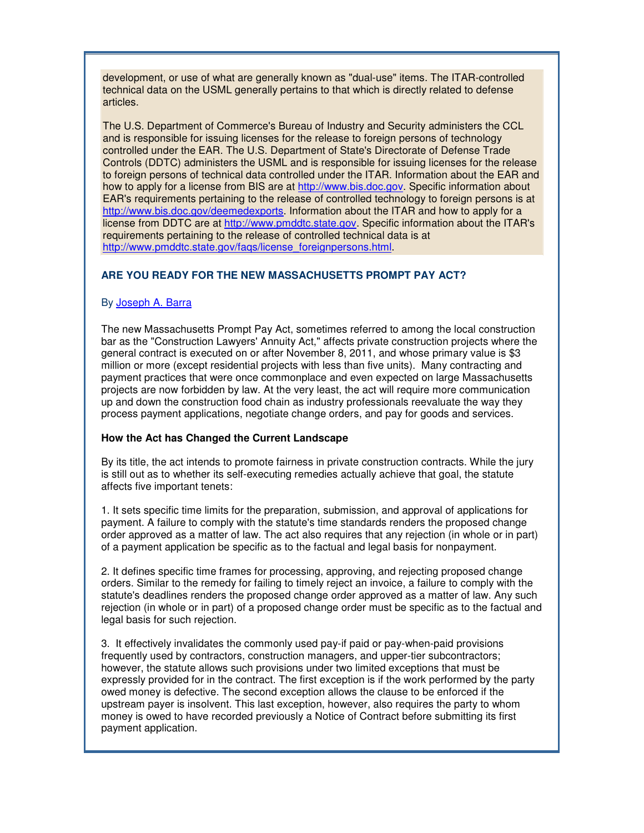development, or use of what are generally known as "dual-use" items. The ITAR-controlled technical data on the USML generally pertains to that which is directly related to defense articles.

The U.S. Department of Commerce's Bureau of Industry and Security administers the CCL and is responsible for issuing licenses for the release to foreign persons of technology controlled under the EAR. The U.S. Department of State's Directorate of Defense Trade Controls (DDTC) administers the USML and is responsible for issuing licenses for the release to foreign persons of technical data controlled under the ITAR. Information about the EAR and how to apply for a license from BIS are at http://www.bis.doc.gov. Specific information about EAR's requirements pertaining to the release of controlled technology to foreign persons is at http://www.bis.doc.gov/deemedexports. Information about the ITAR and how to apply for a license from DDTC are at http://www.pmddtc.state.gov. Specific information about the ITAR's requirements pertaining to the release of controlled technical data is at http://www.pmddtc.state.gov/faqs/license\_foreignpersons.html.

# **ARE YOU READY FOR THE NEW MASSACHUSETTS PROMPT PAY ACT?**

# By [Joseph A. Barra](http://www.rc.com/Bio.cfm?eID=1584)

The new Massachusetts Prompt Pay Act, sometimes referred to among the local construction bar as the "Construction Lawyers' Annuity Act," affects private construction projects where the general contract is executed on or after November 8, 2011, and whose primary value is \$3 million or more (except residential projects with less than five units). Many contracting and payment practices that were once commonplace and even expected on large Massachusetts projects are now forbidden by law. At the very least, the act will require more communication up and down the construction food chain as industry professionals reevaluate the way they process payment applications, negotiate change orders, and pay for goods and services.

#### **How the Act has Changed the Current Landscape**

By its title, the act intends to promote fairness in private construction contracts. While the jury is still out as to whether its self-executing remedies actually achieve that goal, the statute affects five important tenets:

1. It sets specific time limits for the preparation, submission, and approval of applications for payment. A failure to comply with the statute's time standards renders the proposed change order approved as a matter of law. The act also requires that any rejection (in whole or in part) of a payment application be specific as to the factual and legal basis for nonpayment.

2. It defines specific time frames for processing, approving, and rejecting proposed change orders. Similar to the remedy for failing to timely reject an invoice, a failure to comply with the statute's deadlines renders the proposed change order approved as a matter of law. Any such rejection (in whole or in part) of a proposed change order must be specific as to the factual and legal basis for such rejection.

3. It effectively invalidates the commonly used pay-if paid or pay-when-paid provisions frequently used by contractors, construction managers, and upper-tier subcontractors; however, the statute allows such provisions under two limited exceptions that must be expressly provided for in the contract. The first exception is if the work performed by the party owed money is defective. The second exception allows the clause to be enforced if the upstream payer is insolvent. This last exception, however, also requires the party to whom money is owed to have recorded previously a Notice of Contract before submitting its first payment application.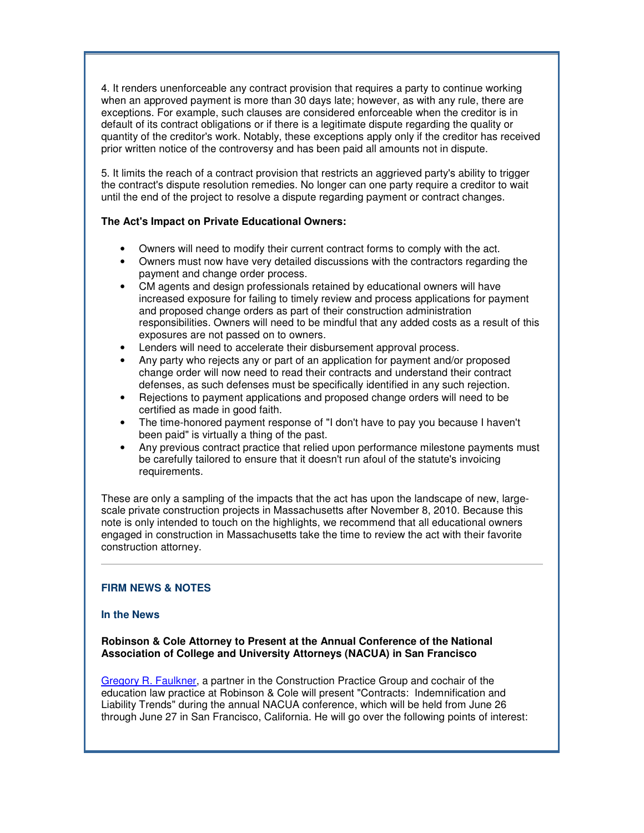4. It renders unenforceable any contract provision that requires a party to continue working when an approved payment is more than 30 days late; however, as with any rule, there are exceptions. For example, such clauses are considered enforceable when the creditor is in default of its contract obligations or if there is a legitimate dispute regarding the quality or quantity of the creditor's work. Notably, these exceptions apply only if the creditor has received prior written notice of the controversy and has been paid all amounts not in dispute.

5. It limits the reach of a contract provision that restricts an aggrieved party's ability to trigger the contract's dispute resolution remedies. No longer can one party require a creditor to wait until the end of the project to resolve a dispute regarding payment or contract changes.

# **The Act's Impact on Private Educational Owners:**

- Owners will need to modify their current contract forms to comply with the act.
- Owners must now have very detailed discussions with the contractors regarding the payment and change order process.
- CM agents and design professionals retained by educational owners will have increased exposure for failing to timely review and process applications for payment and proposed change orders as part of their construction administration responsibilities. Owners will need to be mindful that any added costs as a result of this exposures are not passed on to owners.
- Lenders will need to accelerate their disbursement approval process.
- Any party who rejects any or part of an application for payment and/or proposed change order will now need to read their contracts and understand their contract defenses, as such defenses must be specifically identified in any such rejection.
- Rejections to payment applications and proposed change orders will need to be certified as made in good faith.
- The time-honored payment response of "I don't have to pay you because I haven't been paid" is virtually a thing of the past.
- Any previous contract practice that relied upon performance milestone payments must be carefully tailored to ensure that it doesn't run afoul of the statute's invoicing requirements.

These are only a sampling of the impacts that the act has upon the landscape of new, largescale private construction projects in Massachusetts after November 8, 2010. Because this note is only intended to touch on the highlights, we recommend that all educational owners engaged in construction in Massachusetts take the time to review the act with their favorite construction attorney.

# **FIRM NEWS & NOTES**

#### **In the News**

**Robinson & Cole Attorney to Present at the Annual Conference of the National Association of College and University Attorneys (NACUA) in San Francisco** 

[Gregory R. Faulkner,](http://www.rc.com/Bio.cfm?eID=1432) a partner in the Construction Practice Group and cochair of the education law practice at Robinson & Cole will present "Contracts: Indemnification and Liability Trends" during the annual NACUA conference, which will be held from June 26 through June 27 in San Francisco, California. He will go over the following points of interest: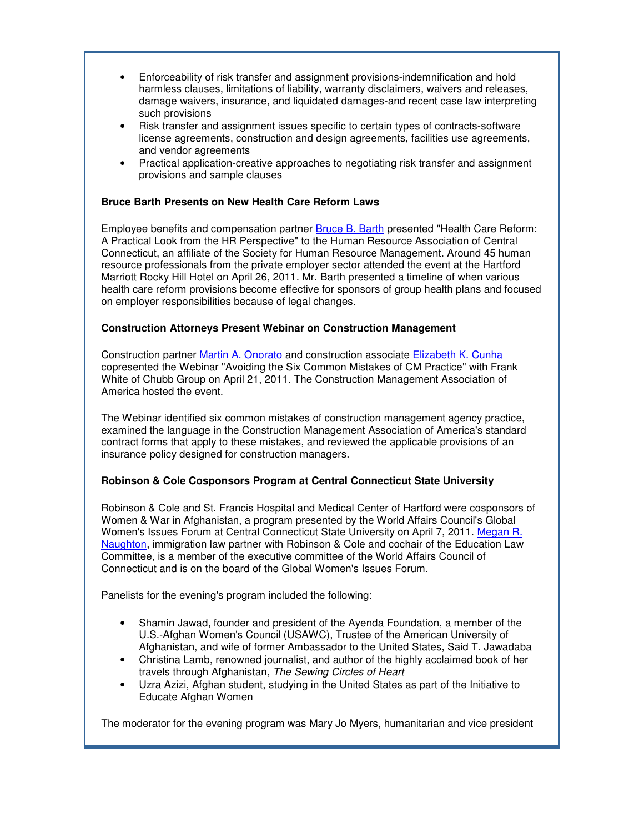- Enforceability of risk transfer and assignment provisions-indemnification and hold harmless clauses, limitations of liability, warranty disclaimers, waivers and releases, damage waivers, insurance, and liquidated damages-and recent case law interpreting such provisions
- Risk transfer and assignment issues specific to certain types of contracts-software license agreements, construction and design agreements, facilities use agreements, and vendor agreements
- Practical application-creative approaches to negotiating risk transfer and assignment provisions and sample clauses

# **Bruce Barth Presents on New Health Care Reform Laws**

Employee benefits and compensation partner [Bruce B. Barth](http://www.rc.com/Bio.cfm?eID=759) presented "Health Care Reform: A Practical Look from the HR Perspective" to the Human Resource Association of Central Connecticut, an affiliate of the Society for Human Resource Management. Around 45 human resource professionals from the private employer sector attended the event at the Hartford Marriott Rocky Hill Hotel on April 26, 2011. Mr. Barth presented a timeline of when various health care reform provisions become effective for sponsors of group health plans and focused on employer responsibilities because of legal changes.

# **Construction Attorneys Present Webinar on Construction Management**

Construction partner [Martin A. Onorato](http://www.rc.com/Bio.cfm?eID=1435) and construction associate [Elizabeth K. Cunha](http://www.rc.com/Bio.cfm?eID=1527) copresented the Webinar "Avoiding the Six Common Mistakes of CM Practice" with Frank White of Chubb Group on April 21, 2011. The Construction Management Association of America hosted the event.

The Webinar identified six common mistakes of construction management agency practice, examined the language in the Construction Management Association of America's standard contract forms that apply to these mistakes, and reviewed the applicable provisions of an insurance policy designed for construction managers.

# **Robinson & Cole Cosponsors Program at Central Connecticut State University**

Robinson & Cole and St. Francis Hospital and Medical Center of Hartford were cosponsors of Women & War in Afghanistan, a program presented by the World Affairs Council's Global Women's Issues Forum at Central Connecticut State University on April 7, 2011. [Megan R.](http://www.rc.com/Bio.cfm?eID=840) [Naughton](http://www.rc.com/Bio.cfm?eID=840), immigration law partner with Robinson & Cole and cochair of the Education Law Committee, is a member of the executive committee of the World Affairs Council of Connecticut and is on the board of the Global Women's Issues Forum.

Panelists for the evening's program included the following:

- Shamin Jawad, founder and president of the Ayenda Foundation, a member of the U.S.-Afghan Women's Council (USAWC), Trustee of the American University of Afghanistan, and wife of former Ambassador to the United States, Said T. Jawadaba
- Christina Lamb, renowned journalist, and author of the highly acclaimed book of her travels through Afghanistan, The Sewing Circles of Heart
- Uzra Azizi, Afghan student, studying in the United States as part of the Initiative to Educate Afghan Women

The moderator for the evening program was Mary Jo Myers, humanitarian and vice president